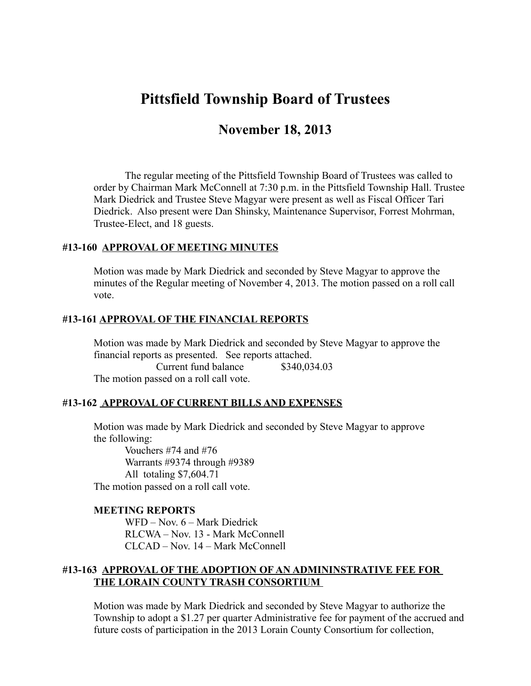# **Pittsfield Township Board of Trustees**

# **November 18, 2013**

The regular meeting of the Pittsfield Township Board of Trustees was called to order by Chairman Mark McConnell at 7:30 p.m. in the Pittsfield Township Hall. Trustee Mark Diedrick and Trustee Steve Magyar were present as well as Fiscal Officer Tari Diedrick. Also present were Dan Shinsky, Maintenance Supervisor, Forrest Mohrman, Trustee-Elect, and 18 guests.

#### **#13-160 APPROVAL OF MEETING MINUTES**

Motion was made by Mark Diedrick and seconded by Steve Magyar to approve the minutes of the Regular meeting of November 4, 2013. The motion passed on a roll call vote.

#### **#13-161 APPROVAL OF THE FINANCIAL REPORTS**

Motion was made by Mark Diedrick and seconded by Steve Magyar to approve the financial reports as presented. See reports attached. Current fund balance \$340,034.03 The motion passed on a roll call vote.

#### **#13-162 APPROVAL OF CURRENT BILLS AND EXPENSES**

Motion was made by Mark Diedrick and seconded by Steve Magyar to approve the following:

 Vouchers #74 and #76 Warrants #9374 through #9389 All totaling \$7,604.71 The motion passed on a roll call vote.

#### **MEETING REPORTS**

WFD – Nov. 6 – Mark Diedrick RLCWA – Nov. 13 - Mark McConnell CLCAD – Nov. 14 – Mark McConnell

#### **#13-163 APPROVAL OF THE ADOPTION OF AN ADMININSTRATIVE FEE FOR THE LORAIN COUNTY TRASH CONSORTIUM**

Motion was made by Mark Diedrick and seconded by Steve Magyar to authorize the Township to adopt a \$1.27 per quarter Administrative fee for payment of the accrued and future costs of participation in the 2013 Lorain County Consortium for collection,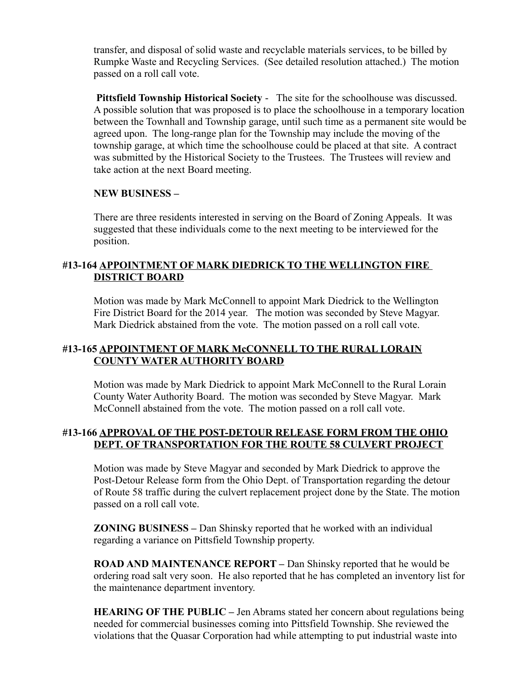transfer, and disposal of solid waste and recyclable materials services, to be billed by Rumpke Waste and Recycling Services. (See detailed resolution attached.) The motion passed on a roll call vote.

**Pittsfield Township Historical Society** - The site for the schoolhouse was discussed. A possible solution that was proposed is to place the schoolhouse in a temporary location between the Townhall and Township garage, until such time as a permanent site would be agreed upon. The long-range plan for the Township may include the moving of the township garage, at which time the schoolhouse could be placed at that site. A contract was submitted by the Historical Society to the Trustees. The Trustees will review and take action at the next Board meeting.

### **NEW BUSINESS –**

There are three residents interested in serving on the Board of Zoning Appeals. It was suggested that these individuals come to the next meeting to be interviewed for the position.

# **#13-164 APPOINTMENT OF MARK DIEDRICK TO THE WELLINGTON FIRE DISTRICT BOARD**

Motion was made by Mark McConnell to appoint Mark Diedrick to the Wellington Fire District Board for the 2014 year. The motion was seconded by Steve Magyar. Mark Diedrick abstained from the vote. The motion passed on a roll call vote.

# **#13-165 APPOINTMENT OF MARK McCONNELL TO THE RURAL LORAIN COUNTY WATER AUTHORITY BOARD**

Motion was made by Mark Diedrick to appoint Mark McConnell to the Rural Lorain County Water Authority Board. The motion was seconded by Steve Magyar. Mark McConnell abstained from the vote. The motion passed on a roll call vote.

### **#13-166 APPROVAL OF THE POST-DETOUR RELEASE FORM FROM THE OHIO DEPT. OF TRANSPORTATION FOR THE ROUTE 58 CULVERT PROJECT**

Motion was made by Steve Magyar and seconded by Mark Diedrick to approve the Post-Detour Release form from the Ohio Dept. of Transportation regarding the detour of Route 58 traffic during the culvert replacement project done by the State. The motion passed on a roll call vote.

**ZONING BUSINESS –** Dan Shinsky reported that he worked with an individual regarding a variance on Pittsfield Township property.

**ROAD AND MAINTENANCE REPORT –** Dan Shinsky reported that he would be ordering road salt very soon. He also reported that he has completed an inventory list for the maintenance department inventory.

**HEARING OF THE PUBLIC –** Jen Abrams stated her concern about regulations being needed for commercial businesses coming into Pittsfield Township. She reviewed the violations that the Quasar Corporation had while attempting to put industrial waste into